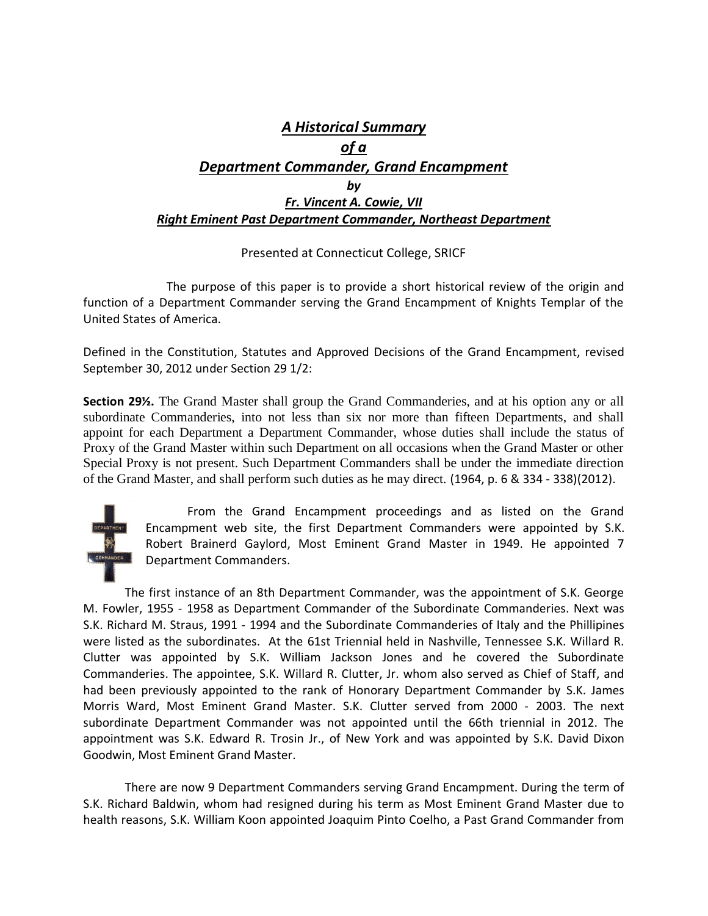## *A Historical Summary of a Department Commander, Grand Encampment by Fr. Vincent A. Cowie, VII Right Eminent Past Department Commander, Northeast Department*

## Presented at Connecticut College, SRICF

The purpose of this paper is to provide a short historical review of the origin and function of a Department Commander serving the Grand Encampment of Knights Templar of the United States of America.

Defined in the Constitution, Statutes and Approved Decisions of the Grand Encampment, revised September 30, 2012 under Section 29 1/2:

**Section 29½.** The Grand Master shall group the Grand Commanderies, and at his option any or all subordinate Commanderies, into not less than six nor more than fifteen Departments, and shall appoint for each Department a Department Commander, whose duties shall include the status of Proxy of the Grand Master within such Department on all occasions when the Grand Master or other Special Proxy is not present. Such Department Commanders shall be under the immediate direction of the Grand Master, and shall perform such duties as he may direct. (1964, p. 6 & 334 - 338)(2012).



From the Grand Encampment proceedings and as listed on the Grand Encampment web site, the first Department Commanders were appointed by S.K. Robert Brainerd Gaylord, Most Eminent Grand Master in 1949. He appointed 7 Department Commanders.

The first instance of an 8th Department Commander, was the appointment of S.K. George M. Fowler, 1955 - 1958 as Department Commander of the Subordinate Commanderies. Next was S.K. Richard M. Straus, 1991 - 1994 and the Subordinate Commanderies of Italy and the Phillipines were listed as the subordinates. At the 61st Triennial held in Nashville, Tennessee S.K. Willard R. Clutter was appointed by S.K. William Jackson Jones and he covered the Subordinate Commanderies. The appointee, S.K. Willard R. Clutter, Jr. whom also served as Chief of Staff, and had been previously appointed to the rank of Honorary Department Commander by S.K. James Morris Ward, Most Eminent Grand Master. S.K. Clutter served from 2000 - 2003. The next subordinate Department Commander was not appointed until the 66th triennial in 2012. The appointment was S.K. Edward R. Trosin Jr., of New York and was appointed by S.K. David Dixon Goodwin, Most Eminent Grand Master.

There are now 9 Department Commanders serving Grand Encampment. During the term of S.K. Richard Baldwin, whom had resigned during his term as Most Eminent Grand Master due to health reasons, S.K. William Koon appointed Joaquim Pinto Coelho, a Past Grand Commander from